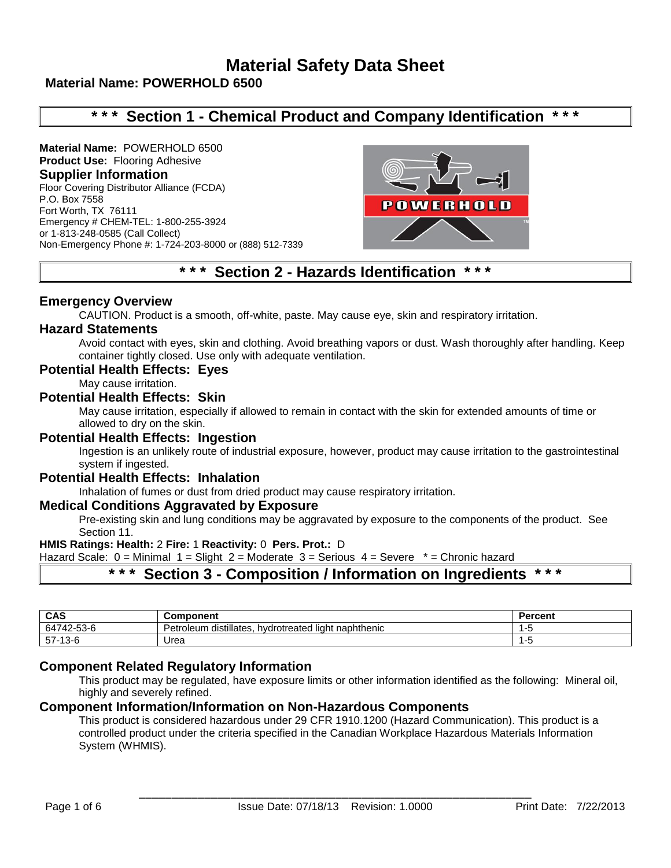# **Material Safety Data Sheet**

# **Material Name: POWERHOLD 6500**

# **\* \* \* Section 1 - Chemical Product and Company Identification \* \* \***

**Material Name:** POWERHOLD 6500 **Product Use:** Flooring Adhesive **Supplier Information** Floor Covering Distributor Alliance (FCDA) P.O. Box 7558 Fort Worth, TX 76111 Emergency # CHEM-TEL: 1-800-255-3924 or 1-813-248-0585 (Call Collect) Non-Emergency Phone #: 1-724-203-8000 or (888) 512-7339



# **\* \* \* Section 2 - Hazards Identification \* \* \***

## **Emergency Overview**

CAUTION. Product is a smooth, off-white, paste. May cause eye, skin and respiratory irritation.

#### **Hazard Statements**

Avoid contact with eyes, skin and clothing. Avoid breathing vapors or dust. Wash thoroughly after handling. Keep container tightly closed. Use only with adequate ventilation.

#### **Potential Health Effects: Eyes**

May cause irritation.

## **Potential Health Effects: Skin**

May cause irritation, especially if allowed to remain in contact with the skin for extended amounts of time or allowed to dry on the skin.

#### **Potential Health Effects: Ingestion**

Ingestion is an unlikely route of industrial exposure, however, product may cause irritation to the gastrointestinal system if ingested.

# **Potential Health Effects: Inhalation**

Inhalation of fumes or dust from dried product may cause respiratory irritation.

# **Medical Conditions Aggravated by Exposure**

Pre-existing skin and lung conditions may be aggravated by exposure to the components of the product. See Section 11.

#### **HMIS Ratings: Health:** 2 **Fire:** 1 **Reactivity:** 0 **Pers. Prot.:** D

Hazard Scale: 0 = Minimal 1 = Slight 2 = Moderate 3 = Serious 4 = Severe \* = Chronic hazard

# **\* \* \* Section 3 - Composition / Information on Ingredients \* \* \***

| CAS             | Component                                                            | Percent |
|-----------------|----------------------------------------------------------------------|---------|
| 742-53-6<br>647 | distillates.<br>.<br>l liaht naphthenic<br>Petroleum<br>hydrotreated |         |
| -13-6<br>57-1   | Urea                                                                 |         |

# **Component Related Regulatory Information**

This product may be regulated, have exposure limits or other information identified as the following: Mineral oil, highly and severely refined.

## **Component Information/Information on Non-Hazardous Components**

This product is considered hazardous under 29 CFR 1910.1200 (Hazard Communication). This product is a controlled product under the criteria specified in the Canadian Workplace Hazardous Materials Information System (WHMIS).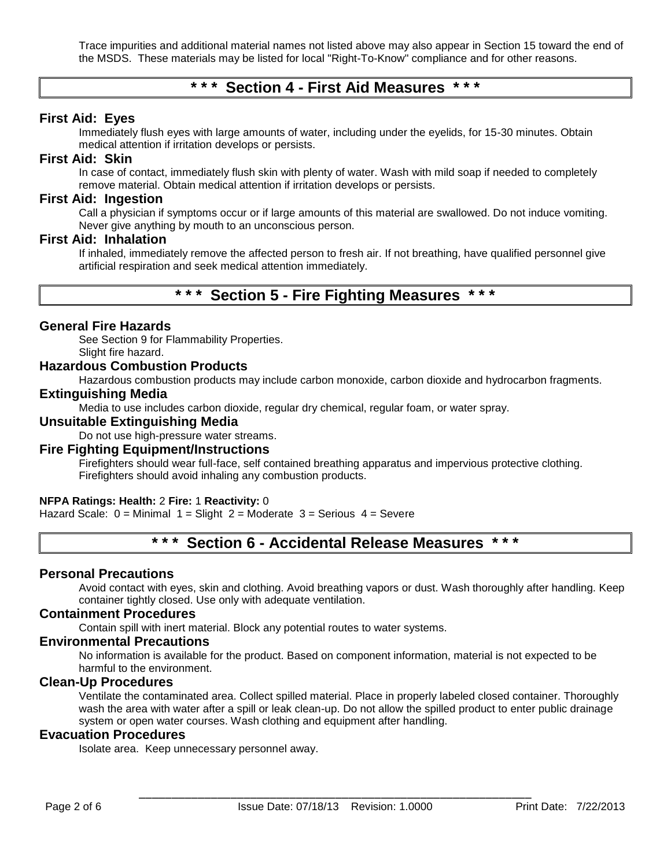Trace impurities and additional material names not listed above may also appear in Section 15 toward the end of the MSDS. These materials may be listed for local "Right-To-Know" compliance and for other reasons.

# **\* \* \* Section 4 - First Aid Measures \* \* \***

## **First Aid: Eyes**

Immediately flush eyes with large amounts of water, including under the eyelids, for 15-30 minutes. Obtain medical attention if irritation develops or persists.

#### **First Aid: Skin**

In case of contact, immediately flush skin with plenty of water. Wash with mild soap if needed to completely remove material. Obtain medical attention if irritation develops or persists.

## **First Aid: Ingestion**

Call a physician if symptoms occur or if large amounts of this material are swallowed. Do not induce vomiting. Never give anything by mouth to an unconscious person.

#### **First Aid: Inhalation**

If inhaled, immediately remove the affected person to fresh air. If not breathing, have qualified personnel give artificial respiration and seek medical attention immediately.

# **\* \* \* Section 5 - Fire Fighting Measures \* \* \***

## **General Fire Hazards**

See Section 9 for Flammability Properties. Slight fire hazard.

#### **Hazardous Combustion Products**

Hazardous combustion products may include carbon monoxide, carbon dioxide and hydrocarbon fragments.

#### **Extinguishing Media**

Media to use includes carbon dioxide, regular dry chemical, regular foam, or water spray.

## **Unsuitable Extinguishing Media**

Do not use high-pressure water streams.

#### **Fire Fighting Equipment/Instructions**

Firefighters should wear full-face, self contained breathing apparatus and impervious protective clothing. Firefighters should avoid inhaling any combustion products.

#### **NFPA Ratings: Health:** 2 **Fire:** 1 **Reactivity:** 0

Hazard Scale:  $0 =$  Minimal  $1 =$  Slight  $2 =$  Moderate  $3 =$  Serious  $4 =$  Severe

# **\* \* \* Section 6 - Accidental Release Measures \* \* \***

#### **Personal Precautions**

Avoid contact with eyes, skin and clothing. Avoid breathing vapors or dust. Wash thoroughly after handling. Keep container tightly closed. Use only with adequate ventilation.

#### **Containment Procedures**

Contain spill with inert material. Block any potential routes to water systems.

# **Environmental Precautions**

No information is available for the product. Based on component information, material is not expected to be harmful to the environment.

# **Clean-Up Procedures**

Ventilate the contaminated area. Collect spilled material. Place in properly labeled closed container. Thoroughly wash the area with water after a spill or leak clean-up. Do not allow the spilled product to enter public drainage system or open water courses. Wash clothing and equipment after handling.

# **Evacuation Procedures**

Isolate area. Keep unnecessary personnel away.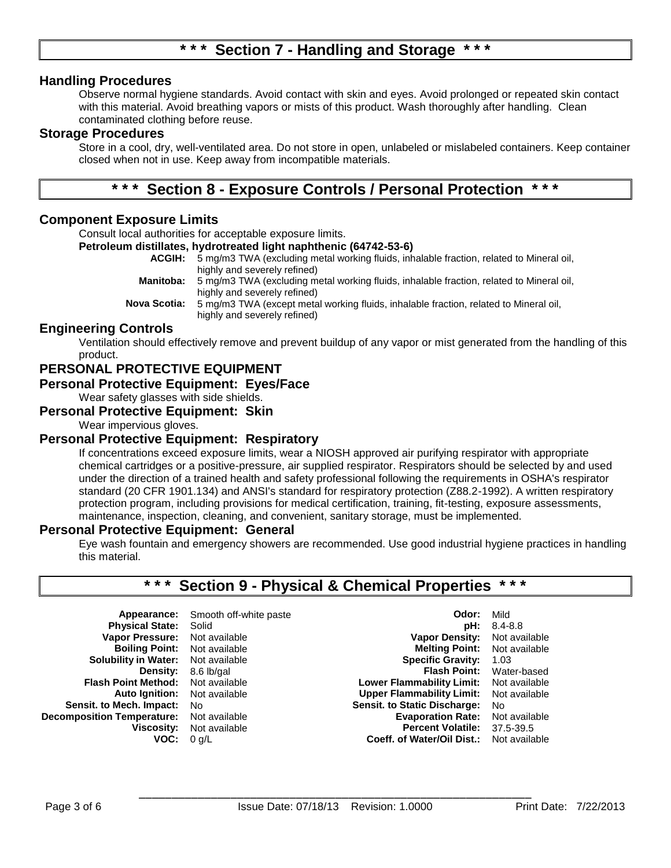# **Section 7 - Handling and Storage**

## **Handling Procedures**

Observe normal hygiene standards. Avoid contact with skin and eyes. Avoid prolonged or repeated skin contact with this material. Avoid breathing vapors or mists of this product. Wash thoroughly after handling. Clean contaminated clothing before reuse.

#### **Storage Procedures**

Store in a cool, dry, well-ventilated area. Do not store in open, unlabeled or mislabeled containers. Keep container closed when not in use. Keep away from incompatible materials.

# **\* \* \* Section 8 - Exposure Controls / Personal Protection \* \* \***

## **Component Exposure Limits**

Consult local authorities for acceptable exposure limits.

#### **Petroleum distillates, hydrotreated light naphthenic (64742-53-6)**

**ACGIH:** 5 mg/m3 TWA (excluding metal working fluids, inhalable fraction, related to Mineral oil, highly and severely refined) **Manitoba:** 5 mg/m3 TWA (excluding metal working fluids, inhalable fraction, related to Mineral oil, highly and severely refined) **Nova Scotia:** 5 mg/m3 TWA (except metal working fluids, inhalable fraction, related to Mineral oil, highly and severely refined)

#### **Engineering Controls**

Ventilation should effectively remove and prevent buildup of any vapor or mist generated from the handling of this product.

# **PERSONAL PROTECTIVE EQUIPMENT**

#### **Personal Protective Equipment: Eyes/Face**

Wear safety glasses with side shields.

## **Personal Protective Equipment: Skin**

Wear impervious gloves.

#### **Personal Protective Equipment: Respiratory**

If concentrations exceed exposure limits, wear a NIOSH approved air purifying respirator with appropriate chemical cartridges or a positive-pressure, air supplied respirator. Respirators should be selected by and used under the direction of a trained health and safety professional following the requirements in OSHA's respirator standard (20 CFR 1901.134) and ANSI's standard for respiratory protection (Z88.2-1992). A written respiratory protection program, including provisions for medical certification, training, fit-testing, exposure assessments, maintenance, inspection, cleaning, and convenient, sanitary storage, must be implemented.

#### **Personal Protective Equipment: General**

Eye wash fountain and emergency showers are recommended. Use good industrial hygiene practices in handling this material.

# **\* \* \* Section 9 - Physical & Chemical Properties \* \* \***

| Smooth off-white paste | Odor:                               | Mild           |
|------------------------|-------------------------------------|----------------|
| Solid                  | pH:                                 | $8.4 - 8.8$    |
| Not available          | <b>Vapor Density:</b>               | Not available  |
| Not available          | <b>Melting Point:</b> Not available |                |
| Not available          | <b>Specific Gravity:</b>            | 1.03           |
| 8.6 lb/gal             | <b>Flash Point:</b>                 | Water-based    |
| Not available          | Lower Flammability Limit:           | Not available  |
| Not available          | <b>Upper Flammability Limit:</b>    | Not available  |
| No.                    | <b>Sensit. to Static Discharge:</b> | N <sub>0</sub> |
| Not available          | <b>Evaporation Rate:</b>            | Not available  |
| Not available          | <b>Percent Volatile:</b>            | 37.5-39.5      |
| $0$ g/L                | Coeff. of Water/Oil Dist.:          | Not available  |
|                        |                                     |                |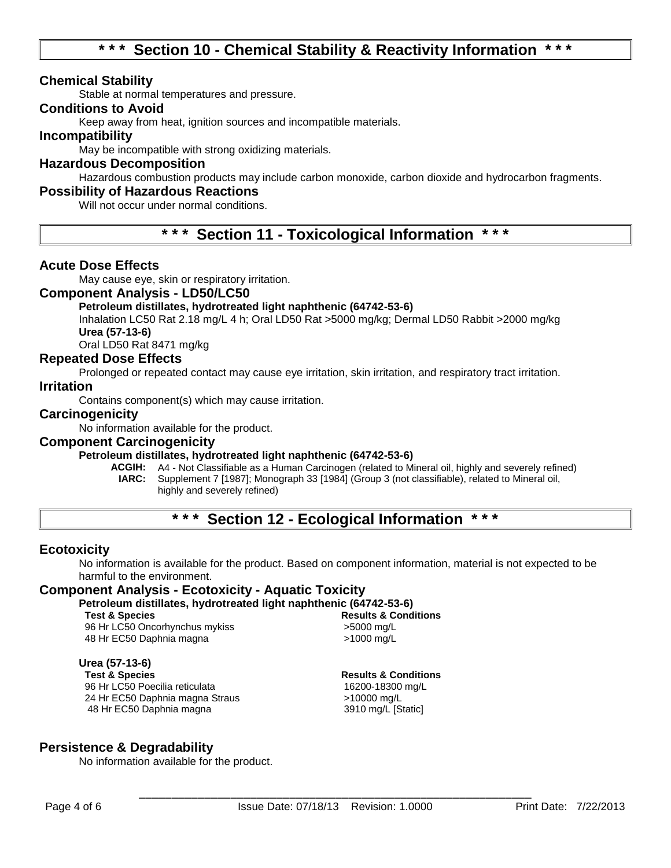# **\* \* \* Section 10 - Chemical Stability & Reactivity Information \* \* \***

## **Chemical Stability**

Stable at normal temperatures and pressure.

## **Conditions to Avoid**

Keep away from heat, ignition sources and incompatible materials.

#### **Incompatibility**

May be incompatible with strong oxidizing materials.

#### **Hazardous Decomposition**

Hazardous combustion products may include carbon monoxide, carbon dioxide and hydrocarbon fragments.

## **Possibility of Hazardous Reactions**

Will not occur under normal conditions.

**\* \* \* Section 11 - Toxicological Information \* \* \***

## **Acute Dose Effects**

May cause eye, skin or respiratory irritation.

#### **Component Analysis - LD50/LC50**

#### **Petroleum distillates, hydrotreated light naphthenic (64742-53-6)**

Inhalation LC50 Rat 2.18 mg/L 4 h; Oral LD50 Rat >5000 mg/kg; Dermal LD50 Rabbit >2000 mg/kg **Urea (57-13-6)**

Oral LD50 Rat 8471 mg/kg

#### **Repeated Dose Effects**

Prolonged or repeated contact may cause eye irritation, skin irritation, and respiratory tract irritation.

#### **Irritation**

Contains component(s) which may cause irritation.

#### **Carcinogenicity**

No information available for the product.

## **Component Carcinogenicity**

#### **Petroleum distillates, hydrotreated light naphthenic (64742-53-6)**

**ACGIH:** A4 - Not Classifiable as a Human Carcinogen (related to Mineral oil, highly and severely refined) **IARC:** Supplement 7 [1987]; Monograph 33 [1984] (Group 3 (not classifiable), related to Mineral oil, highly and severely refined)

# **\* \* \* Section 12 - Ecological Information \* \* \***

#### **Ecotoxicity**

No information is available for the product. Based on component information, material is not expected to be harmful to the environment.

#### **Component Analysis - Ecotoxicity - Aquatic Toxicity**

**Petroleum distillates, hydrotreated light naphthenic (64742-53-6)**

96 Hr LC50 Oncorhynchus mykiss >5000 mg/L 48 Hr EC50 Daphnia magna  $\frac{1}{2}$  >1000 mg/L

**Urea (57-13-6)** 96 Hr LC50 Poecilia reticulata 24 Hr EC50 Daphnia magna Straus >10000 mg/L 48 Hr EC50 Daphnia magna 3910 mg/L [Static]

**Results & Conditions** 

# **Results & Conditions**<br>16200-18300 ma/L

#### **Persistence & Degradability**

No information available for the product.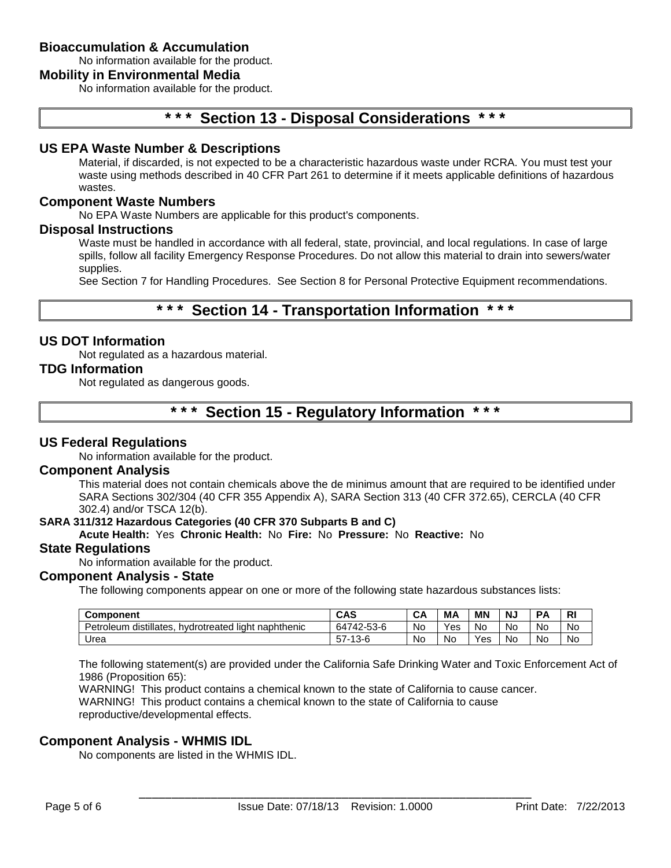# **Bioaccumulation & Accumulation**

No information available for the product.

## **Mobility in Environmental Media**

No information available for the product.

# **\* \* \* Section 13 - Disposal Considerations \* \* \***

## **US EPA Waste Number & Descriptions**

Material, if discarded, is not expected to be a characteristic hazardous waste under RCRA. You must test your waste using methods described in 40 CFR Part 261 to determine if it meets applicable definitions of hazardous wastes.

#### **Component Waste Numbers**

No EPA Waste Numbers are applicable for this product's components.

#### **Disposal Instructions**

Waste must be handled in accordance with all federal, state, provincial, and local regulations. In case of large spills, follow all facility Emergency Response Procedures. Do not allow this material to drain into sewers/water supplies.

See Section 7 for Handling Procedures. See Section 8 for Personal Protective Equipment recommendations.

# **\* \* \* Section 14 - Transportation Information \* \* \***

#### **US DOT Information**

Not regulated as a hazardous material.

#### **TDG Information**

Not regulated as dangerous goods.

# **\* \* \* Section 15 - Regulatory Information \* \* \***

#### **US Federal Regulations**

No information available for the product.

#### **Component Analysis**

This material does not contain chemicals above the de minimus amount that are required to be identified under SARA Sections 302/304 (40 CFR 355 Appendix A), SARA Section 313 (40 CFR 372.65), CERCLA (40 CFR 302.4) and/or TSCA 12(b).

#### **SARA 311/312 Hazardous Categories (40 CFR 370 Subparts B and C)**

#### **Acute Health:** Yes **Chronic Health:** No **Fire:** No **Pressure:** No **Reactive:** No

#### **State Regulations**

No information available for the product.

#### **Component Analysis - State**

The following components appear on one or more of the following state hazardous substances lists:

| Component                                                        | <b>CAS</b>        | CА | MΑ  | <b>MN</b>         | N. | D,        | R. |
|------------------------------------------------------------------|-------------------|----|-----|-------------------|----|-----------|----|
| distillates.<br>Petroleum<br>naphthenic<br>liaht<br>hydrotreated | 64742-53-6        | No | Yes | No                | No | <b>Nc</b> | No |
| Urea                                                             | --<br>.3-6<br>ວ / | No | No. | $V_{\mathsf{e}s}$ | No | <b>Nc</b> | No |

The following statement(s) are provided under the California Safe Drinking Water and Toxic Enforcement Act of 1986 (Proposition 65):

WARNING! This product contains a chemical known to the state of California to cause cancer. WARNING! This product contains a chemical known to the state of California to cause reproductive/developmental effects.

#### **Component Analysis - WHMIS IDL**

No components are listed in the WHMIS IDL.